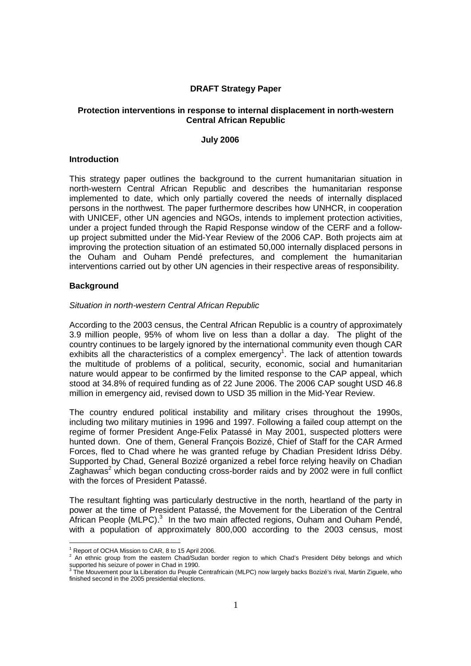## **DRAFT Strategy Paper**

#### **Protection interventions in response to internal displacement in north-western Central African Republic**

#### **July 2006**

#### **Introduction**

This strategy paper outlines the background to the current humanitarian situation in north-western Central African Republic and describes the humanitarian response implemented to date, which only partially covered the needs of internally displaced persons in the northwest. The paper furthermore describes how UNHCR, in cooperation with UNICEF, other UN agencies and NGOs, intends to implement protection activities, under a project funded through the Rapid Response window of the CERF and a followup project submitted under the Mid-Year Review of the 2006 CAP. Both projects aim at improving the protection situation of an estimated 50,000 internally displaced persons in the Ouham and Ouham Pendé prefectures, and complement the humanitarian interventions carried out by other UN agencies in their respective areas of responsibility.

## **Background**

### Situation in north-western Central African Republic

According to the 2003 census, the Central African Republic is a country of approximately 3.9 million people, 95% of whom live on less than a dollar a day. The plight of the country continues to be largely ignored by the international community even though CAR exhibits all the characteristics of a complex emergency<sup>1</sup>. The lack of attention towards the multitude of problems of a political, security, economic, social and humanitarian nature would appear to be confirmed by the limited response to the CAP appeal, which stood at 34.8% of required funding as of 22 June 2006. The 2006 CAP sought USD 46.8 million in emergency aid, revised down to USD 35 million in the Mid-Year Review.

The country endured political instability and military crises throughout the 1990s, including two military mutinies in 1996 and 1997. Following a failed coup attempt on the regime of former President Ange-Felix Patassé in May 2001, suspected plotters were hunted down. One of them, General François Bozizé, Chief of Staff for the CAR Armed Forces, fled to Chad where he was granted refuge by Chadian President Idriss Déby. Supported by Chad, General Bozizé organized a rebel force relying heavily on Chadian Zaghawas<sup>2</sup> which began conducting cross-border raids and by 2002 were in full conflict with the forces of President Patassé.

The resultant fighting was particularly destructive in the north, heartland of the party in power at the time of President Patassé, the Movement for the Liberation of the Central African People (MLPC). $3$  In the two main affected regions, Ouham and Ouham Pendé, with a population of approximately 800,000 according to the 2003 census, most

<sup>-</sup><sup>1</sup> Report of OCHA Mission to CAR, 8 to 15 April 2006.

 $2$  An ethnic group from the eastern Chad/Sudan border region to which Chad's President Déby belongs and which supported his seizure of power in Chad in 1990.<br><sup>3</sup> The Mouvement pour la Liberation du Peuple Centrafricain (MLPC) now largely backs Bozizé's rival, Martin Ziguele, who

finished second in the 2005 presidential elections.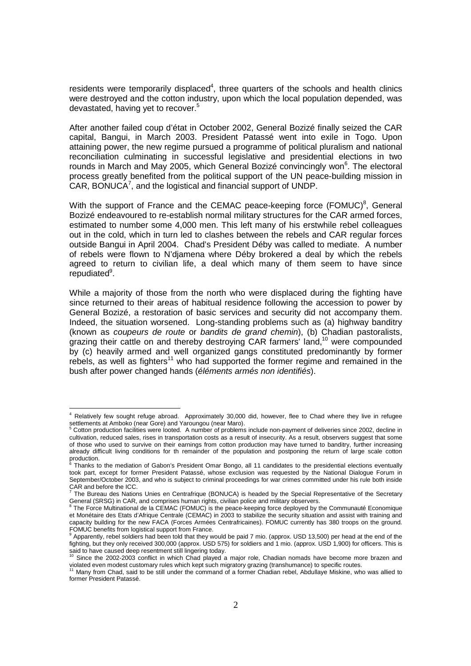residents were temporarily displaced<sup>4</sup>, three quarters of the schools and health clinics were destroyed and the cotton industry, upon which the local population depended, was devastated, having yet to recover.<sup>5</sup>

After another failed coup d'état in October 2002, General Bozizé finally seized the CAR capital, Bangui, in March 2003. President Patassé went into exile in Togo. Upon attaining power, the new regime pursued a programme of political pluralism and national reconciliation culminating in successful legislative and presidential elections in two rounds in March and May 2005, which General Bozizé convincingly won<sup>6</sup>. The electoral process greatly benefited from the political support of the UN peace-building mission in CAR, BONUCA $^7$ , and the logistical and financial support of UNDP.

With the support of France and the CEMAC peace-keeping force (FOMUC) $<sup>8</sup>$ , General</sup> Bozizé endeavoured to re-establish normal military structures for the CAR armed forces, estimated to number some 4,000 men. This left many of his erstwhile rebel colleagues out in the cold, which in turn led to clashes between the rebels and CAR regular forces outside Bangui in April 2004. Chad's President Déby was called to mediate. A number of rebels were flown to N'djamena where Déby brokered a deal by which the rebels agreed to return to civilian life, a deal which many of them seem to have since repudiated<sup>9</sup>.

While a majority of those from the north who were displaced during the fighting have since returned to their areas of habitual residence following the accession to power by General Bozizé, a restoration of basic services and security did not accompany them. Indeed, the situation worsened. Long-standing problems such as (a) highway banditry (known as coupeurs de route or bandits de grand chemin), (b) Chadian pastoralists, grazing their cattle on and thereby destroying CAR farmers' land,<sup>10</sup> were compounded by (c) heavily armed and well organized gangs constituted predominantly by former rebels, as well as fighters<sup>11</sup> who had supported the former regime and remained in the bush after power changed hands (éléments armés non identifiés).

-

<sup>&</sup>lt;sup>4</sup> Relatively few sought refuge abroad. Approximately 30,000 did, however, flee to Chad where they live in refugee settlements at Amboko (near Gore) and Yaroungou (near Maro).<br><sup>5</sup> Cetter production fecilities were leated. A number of problems

Cotton production facilities were looted. A number of problems include non-payment of deliveries since 2002, decline in cultivation, reduced sales, rises in transportation costs as a result of insecurity. As a result, observers suggest that some of those who used to survive on their earnings from cotton production may have turned to banditry, further increasing already difficult living conditions for th remainder of the population and postponing the return of large scale cotton production.<br><sup>6</sup> Thenke to

Thanks to the mediation of Gabon's President Omar Bongo, all 11 candidates to the presidential elections eventually took part, except for former President Patassé, whose exclusion was requested by the National Dialogue Forum in September/October 2003, and who is subject to criminal proceedings for war crimes committed under his rule both inside CAR and before the ICC.<br>
<sup>7</sup> The Bureau dee Notion

The Bureau des Nations Unies en Centrafrique (BONUCA) is headed by the Special Representative of the Secretary General (SRSG) in CAR, and comprises human rights, civilian police and military observers.<br><sup>8</sup> The Force Multinational de la CEMAC (FOMUC) is the peace-keeping force deployed by the Communauté Economique

et Monétaire des Etats d'Afrique Centrale (CEMAC) in 2003 to stabilize the security situation and assist with training and capacity building for the new FACA (Forces Armées Centrafricaines). FOMUC currently has 380 troops on the ground. FOMUC benefits from logistical support from France.<br>**9 Apparantly, robol soldiers had been teld that thou u** 

Apparently, rebel soldiers had been told that they would be paid 7 mio. (approx. USD 13,500) per head at the end of the fighting, but they only received 300,000 (approx. USD 575) for soldiers and 1 mio. (approx. USD 1,900) for officers. This is

said to have caused deep resentment still lingering today.<br><sup>10</sup> Since the 2002-2003 conflict in which Chad played a major role, Chadian nomads have become more brazen and

violated even modest customary rules which kept such migratory grazing (transhumance) to specific routes.<br><sup>11</sup> Many from Chad, said to be still under the command of a former Chadian rebel, Abdullaye Miskine, who was allied former President Patassé.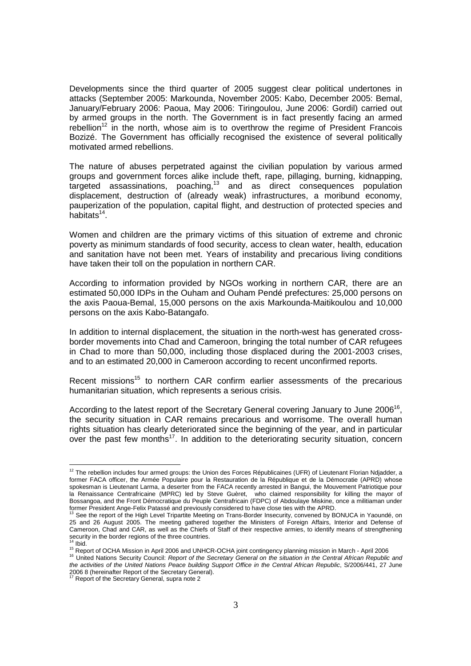Developments since the third quarter of 2005 suggest clear political undertones in attacks (September 2005: Markounda, November 2005: Kabo, December 2005: Bemal, January/February 2006: Paoua, May 2006: Tiringoulou, June 2006: Gordil) carried out by armed groups in the north. The Government is in fact presently facing an armed rebellion<sup>12</sup> in the north, whose aim is to overthrow the regime of President Francois Bozizé. The Government has officially recognised the existence of several politically motivated armed rebellions.

The nature of abuses perpetrated against the civilian population by various armed groups and government forces alike include theft, rape, pillaging, burning, kidnapping,  $targeted$  assassinations, poaching, $13$  and as direct consequences population displacement, destruction of (already weak) infrastructures, a moribund economy, pauperization of the population, capital flight, and destruction of protected species and habitats<sup>14</sup>.

Women and children are the primary victims of this situation of extreme and chronic poverty as minimum standards of food security, access to clean water, health, education and sanitation have not been met. Years of instability and precarious living conditions have taken their toll on the population in northern CAR.

According to information provided by NGOs working in northern CAR, there are an estimated 50,000 IDPs in the Ouham and Ouham Pendé prefectures: 25,000 persons on the axis Paoua-Bemal, 15,000 persons on the axis Markounda-Maitikoulou and 10,000 persons on the axis Kabo-Batangafo.

In addition to internal displacement, the situation in the north-west has generated crossborder movements into Chad and Cameroon, bringing the total number of CAR refugees in Chad to more than 50,000, including those displaced during the 2001-2003 crises, and to an estimated 20,000 in Cameroon according to recent unconfirmed reports.

Recent missions<sup>15</sup> to northern CAR confirm earlier assessments of the precarious humanitarian situation, which represents a serious crisis.

According to the latest report of the Secretary General covering January to June 2006<sup>16</sup>, the security situation in CAR remains precarious and worrisome. The overall human rights situation has clearly deteriorated since the beginning of the year, and in particular over the past few months<sup>17</sup>. In addition to the deteriorating security situation, concern

-

<sup>&</sup>lt;sup>12</sup> The rebellion includes four armed groups: the Union des Forces Républicaines (UFR) of Lieutenant Florian Ndjadder, a former FACA officer, the Armée Populaire pour la Restauration de la République et de la Démocratie (APRD) whose spokesman is Lieutenant Larma, a deserter from the FACA recently arrested in Bangui, the Mouvement Patriotique pour la Renaissance Centrafricaine (MPRC) led by Steve Guèret, who claimed responsibility for killing the mayor of Bossangoa, and the Front Démocratique du Peuple Centrafricain (FDPC) of Abdoulaye Miskine, once a militiaman under former President Ange-Felix Patassé and previously considered to have close ties with the APRD.

See the report of the High Level Tripartite Meeting on Trans-Border Insecurity, convened by BONUCA in Yaoundé, on 25 and 26 August 2005. The meeting gathered together the Ministers of Foreign Affairs, Interior and Defense of Cameroon, Chad and CAR, as well as the Chiefs of Staff of their respective armies, to identify means of strengthening security in the border regions of the three countries. <sup>14</sup> Ibid.

<sup>15</sup> Report of OCHA Mission in April 2006 and UNHCR-OCHA joint contingency planning mission in March - April 2006

<sup>&</sup>lt;sup>16</sup> United Nations Security Council: Report of the Secretary General on the situation in the Central African Republic and the activities of the United Nations Peace building Support Office in the Central African Republic, S/2006/441, 27 June 2006 8 (hereinafter Report of the Secretary General).

Report of the Secretary General, supra note 2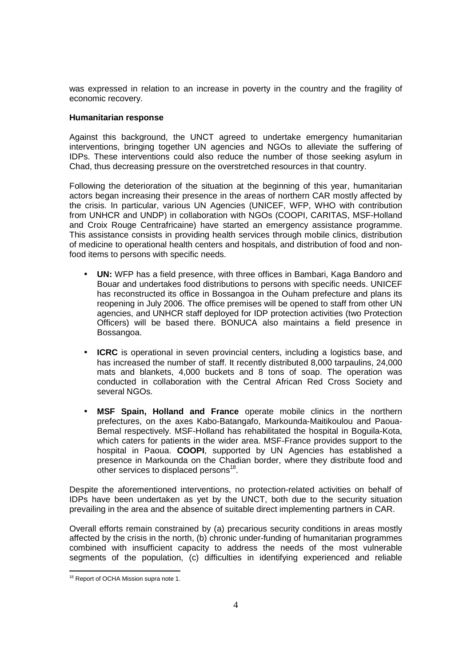was expressed in relation to an increase in poverty in the country and the fragility of economic recovery.

## **Humanitarian response**

Against this background, the UNCT agreed to undertake emergency humanitarian interventions, bringing together UN agencies and NGOs to alleviate the suffering of IDPs. These interventions could also reduce the number of those seeking asylum in Chad, thus decreasing pressure on the overstretched resources in that country.

Following the deterioration of the situation at the beginning of this year, humanitarian actors began increasing their presence in the areas of northern CAR mostly affected by the crisis. In particular, various UN Agencies (UNICEF, WFP, WHO with contribution from UNHCR and UNDP) in collaboration with NGOs (COOPI, CARITAS, MSF-Holland and Croix Rouge Centrafricaine) have started an emergency assistance programme. This assistance consists in providing health services through mobile clinics, distribution of medicine to operational health centers and hospitals, and distribution of food and nonfood items to persons with specific needs.

- **UN:** WFP has a field presence, with three offices in Bambari, Kaga Bandoro and Bouar and undertakes food distributions to persons with specific needs. UNICEF has reconstructed its office in Bossangoa in the Ouham prefecture and plans its reopening in July 2006. The office premises will be opened to staff from other UN agencies, and UNHCR staff deployed for IDP protection activities (two Protection Officers) will be based there. BONUCA also maintains a field presence in Bossangoa.
- **ICRC** is operational in seven provincial centers, including a logistics base, and has increased the number of staff. It recently distributed 8,000 tarpaulins, 24,000 mats and blankets, 4,000 buckets and 8 tons of soap. The operation was conducted in collaboration with the Central African Red Cross Society and several NGOs.
- **MSF Spain, Holland and France** operate mobile clinics in the northern prefectures, on the axes Kabo-Batangafo, Markounda-Maitikoulou and Paoua-Bemal respectively. MSF-Holland has rehabilitated the hospital in Boguila-Kota, which caters for patients in the wider area. MSF-France provides support to the hospital in Paoua. **COOPI**, supported by UN Agencies has established a presence in Markounda on the Chadian border, where they distribute food and other services to displaced persons $^{18}$ .

Despite the aforementioned interventions, no protection-related activities on behalf of IDPs have been undertaken as yet by the UNCT, both due to the security situation prevailing in the area and the absence of suitable direct implementing partners in CAR.

Overall efforts remain constrained by (a) precarious security conditions in areas mostly affected by the crisis in the north, (b) chronic under-funding of humanitarian programmes combined with insufficient capacity to address the needs of the most vulnerable segments of the population, (c) difficulties in identifying experienced and reliable

<sup>-</sup><sup>18</sup> Report of OCHA Mission supra note 1.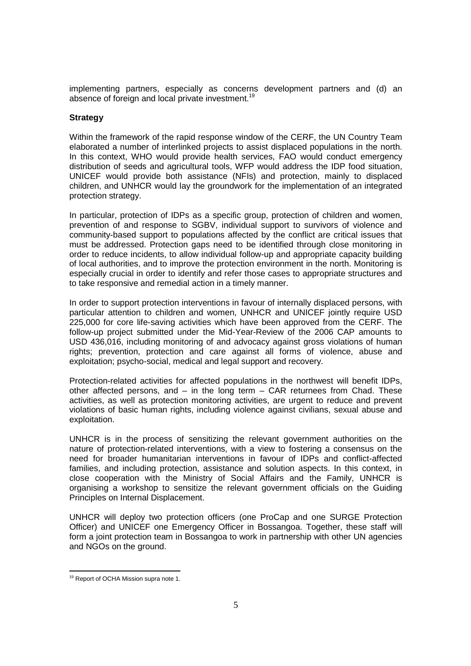implementing partners, especially as concerns development partners and (d) an absence of foreign and local private investment.<sup>19</sup>

## **Strategy**

Within the framework of the rapid response window of the CERF, the UN Country Team elaborated a number of interlinked projects to assist displaced populations in the north. In this context, WHO would provide health services, FAO would conduct emergency distribution of seeds and agricultural tools, WFP would address the IDP food situation, UNICEF would provide both assistance (NFIs) and protection, mainly to displaced children, and UNHCR would lay the groundwork for the implementation of an integrated protection strategy.

In particular, protection of IDPs as a specific group, protection of children and women, prevention of and response to SGBV, individual support to survivors of violence and community-based support to populations affected by the conflict are critical issues that must be addressed. Protection gaps need to be identified through close monitoring in order to reduce incidents, to allow individual follow-up and appropriate capacity building of local authorities, and to improve the protection environment in the north. Monitoring is especially crucial in order to identify and refer those cases to appropriate structures and to take responsive and remedial action in a timely manner.

In order to support protection interventions in favour of internally displaced persons, with particular attention to children and women, UNHCR and UNICEF jointly require USD 225,000 for core life-saving activities which have been approved from the CERF. The follow-up project submitted under the Mid-Year-Review of the 2006 CAP amounts to USD 436,016, including monitoring of and advocacy against gross violations of human rights; prevention, protection and care against all forms of violence, abuse and exploitation; psycho-social, medical and legal support and recovery.

Protection-related activities for affected populations in the northwest will benefit IDPs, other affected persons, and – in the long term – CAR returnees from Chad. These activities, as well as protection monitoring activities, are urgent to reduce and prevent violations of basic human rights, including violence against civilians, sexual abuse and exploitation.

UNHCR is in the process of sensitizing the relevant government authorities on the nature of protection-related interventions, with a view to fostering a consensus on the need for broader humanitarian interventions in favour of IDPs and conflict-affected families, and including protection, assistance and solution aspects. In this context, in close cooperation with the Ministry of Social Affairs and the Family, UNHCR is organising a workshop to sensitize the relevant government officials on the Guiding Principles on Internal Displacement.

UNHCR will deploy two protection officers (one ProCap and one SURGE Protection Officer) and UNICEF one Emergency Officer in Bossangoa. Together, these staff will form a joint protection team in Bossangoa to work in partnership with other UN agencies and NGOs on the ground.

<sup>-</sup><sup>19</sup> Report of OCHA Mission supra note 1.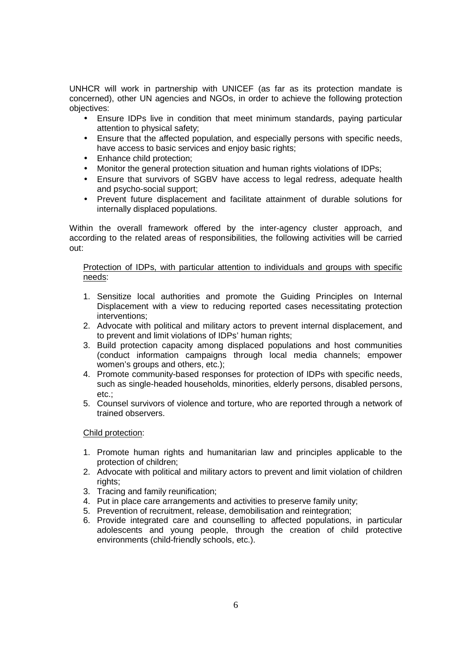UNHCR will work in partnership with UNICEF (as far as its protection mandate is concerned), other UN agencies and NGOs, in order to achieve the following protection objectives:

- Ensure IDPs live in condition that meet minimum standards, paying particular attention to physical safety;
- Ensure that the affected population, and especially persons with specific needs, have access to basic services and enjoy basic rights;
- Enhance child protection;
- Monitor the general protection situation and human rights violations of IDPs;
- Ensure that survivors of SGBV have access to legal redress, adequate health and psycho-social support;
- Prevent future displacement and facilitate attainment of durable solutions for internally displaced populations.

Within the overall framework offered by the inter-agency cluster approach, and according to the related areas of responsibilities, the following activities will be carried out:

# Protection of IDPs, with particular attention to individuals and groups with specific needs:

- 1. Sensitize local authorities and promote the Guiding Principles on Internal Displacement with a view to reducing reported cases necessitating protection interventions;
- 2. Advocate with political and military actors to prevent internal displacement, and to prevent and limit violations of IDPs' human rights;
- 3. Build protection capacity among displaced populations and host communities (conduct information campaigns through local media channels; empower women's groups and others, etc.);
- 4. Promote community-based responses for protection of IDPs with specific needs, such as single-headed households, minorities, elderly persons, disabled persons, etc.;
- 5. Counsel survivors of violence and torture, who are reported through a network of trained observers.

## Child protection:

- 1. Promote human rights and humanitarian law and principles applicable to the protection of children;
- 2. Advocate with political and military actors to prevent and limit violation of children rights:
- 3. Tracing and family reunification;
- 4. Put in place care arrangements and activities to preserve family unity;
- 5. Prevention of recruitment, release, demobilisation and reintegration;
- 6. Provide integrated care and counselling to affected populations, in particular adolescents and young people, through the creation of child protective environments (child-friendly schools, etc.).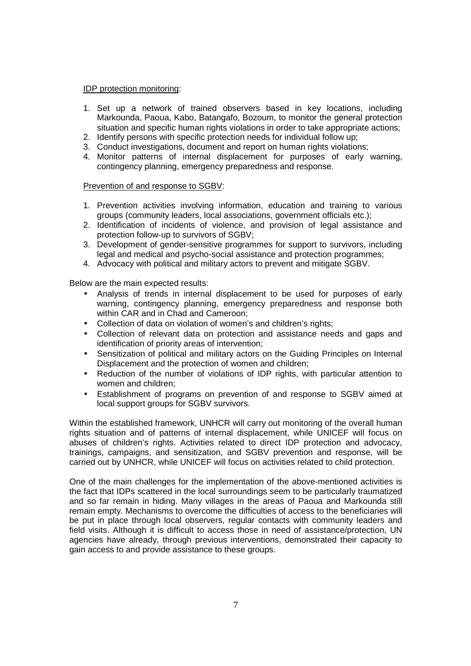### IDP protection monitoring:

- 1. Set up a network of trained observers based in key locations, including Markounda, Paoua, Kabo, Batangafo, Bozoum, to monitor the general protection situation and specific human rights violations in order to take appropriate actions;
- 2. Identify persons with specific protection needs for individual follow up;
- 3. Conduct investigations, document and report on human rights violations;
- 4. Monitor patterns of internal displacement for purposes of early warning, contingency planning, emergency preparedness and response.

### Prevention of and response to SGBV:

- 1. Prevention activities involving information, education and training to various groups (community leaders, local associations, government officials etc.);
- 2. Identification of incidents of violence, and provision of legal assistance and protection follow-up to survivors of SGBV;
- 3. Development of gender-sensitive programmes for support to survivors, including legal and medical and psycho-social assistance and protection programmes;
- 4. Advocacy with political and military actors to prevent and mitigate SGBV.

Below are the main expected results:

- Analysis of trends in internal displacement to be used for purposes of early warning, contingency planning, emergency preparedness and response both within CAR and in Chad and Cameroon;
- Collection of data on violation of women's and children's rights;
- Collection of relevant data on protection and assistance needs and gaps and identification of priority areas of intervention;
- Sensitization of political and military actors on the Guiding Principles on Internal Displacement and the protection of women and children;
- Reduction of the number of violations of IDP rights, with particular attention to women and children;
- Establishment of programs on prevention of and response to SGBV aimed at local support groups for SGBV survivors.

Within the established framework, UNHCR will carry out monitoring of the overall human rights situation and of patterns of internal displacement, while UNICEF will focus on abuses of children's rights. Activities related to direct IDP protection and advocacy, trainings, campaigns, and sensitization, and SGBV prevention and response, will be carried out by UNHCR, while UNICEF will focus on activities related to child protection.

One of the main challenges for the implementation of the above-mentioned activities is the fact that IDPs scattered in the local surroundings seem to be particularly traumatized and so far remain in hiding. Many villages in the areas of Paoua and Markounda still remain empty. Mechanisms to overcome the difficulties of access to the beneficiaries will be put in place through local observers, regular contacts with community leaders and field visits. Although it is difficult to access those in need of assistance/protection, UN agencies have already, through previous interventions, demonstrated their capacity to gain access to and provide assistance to these groups.